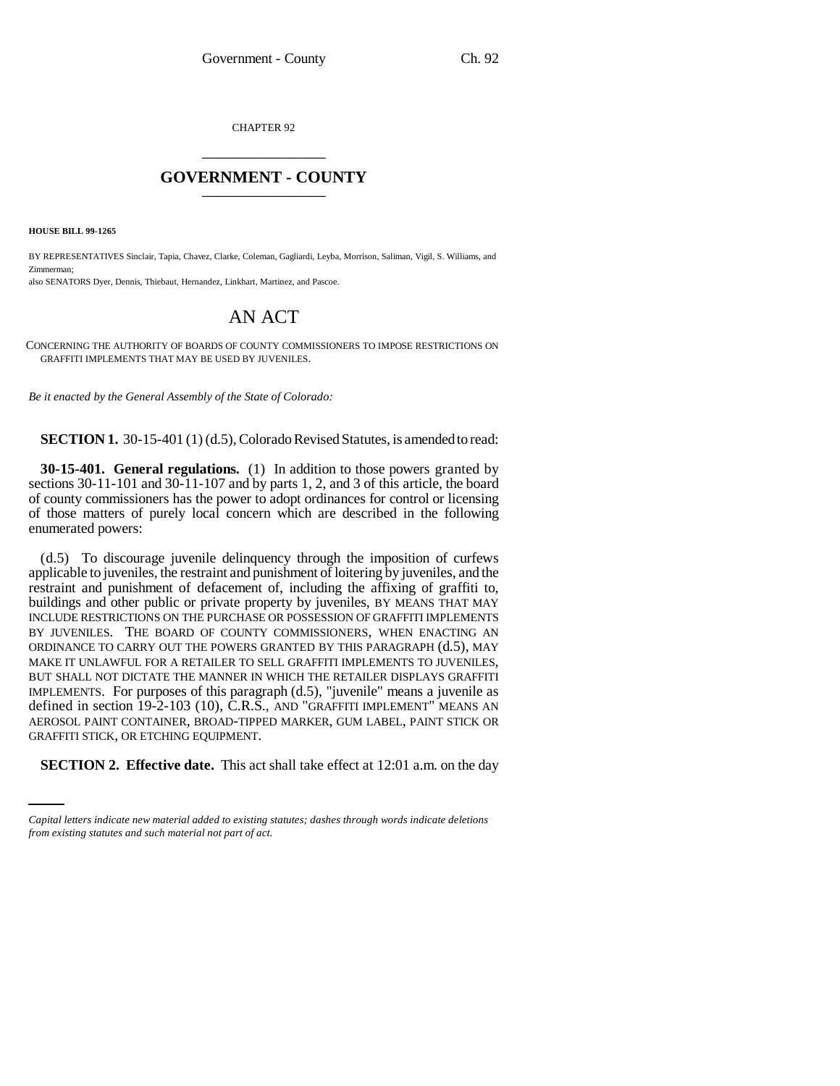CHAPTER 92 \_\_\_\_\_\_\_\_\_\_\_\_\_\_\_

## **GOVERNMENT - COUNTY** \_\_\_\_\_\_\_\_\_\_\_\_\_\_\_

**HOUSE BILL 99-1265** 

BY REPRESENTATIVES Sinclair, Tapia, Chavez, Clarke, Coleman, Gagliardi, Leyba, Morrison, Saliman, Vigil, S. Williams, and Zimmerman;

also SENATORS Dyer, Dennis, Thiebaut, Hernandez, Linkhart, Martinez, and Pascoe.

## AN ACT

CONCERNING THE AUTHORITY OF BOARDS OF COUNTY COMMISSIONERS TO IMPOSE RESTRICTIONS ON GRAFFITI IMPLEMENTS THAT MAY BE USED BY JUVENILES.

*Be it enacted by the General Assembly of the State of Colorado:*

**SECTION 1.** 30-15-401 (1) (d.5), Colorado Revised Statutes, is amended to read:

**30-15-401. General regulations.** (1) In addition to those powers granted by sections 30-11-101 and 30-11-107 and by parts 1, 2, and 3 of this article, the board of county commissioners has the power to adopt ordinances for control or licensing of those matters of purely local concern which are described in the following enumerated powers:

GRAFFITI STICK, OR ETCHING EQUIPMENT. (d.5) To discourage juvenile delinquency through the imposition of curfews applicable to juveniles, the restraint and punishment of loitering by juveniles, and the restraint and punishment of defacement of, including the affixing of graffiti to, buildings and other public or private property by juveniles, BY MEANS THAT MAY INCLUDE RESTRICTIONS ON THE PURCHASE OR POSSESSION OF GRAFFITI IMPLEMENTS BY JUVENILES. THE BOARD OF COUNTY COMMISSIONERS, WHEN ENACTING AN ORDINANCE TO CARRY OUT THE POWERS GRANTED BY THIS PARAGRAPH (d.5), MAY MAKE IT UNLAWFUL FOR A RETAILER TO SELL GRAFFITI IMPLEMENTS TO JUVENILES, BUT SHALL NOT DICTATE THE MANNER IN WHICH THE RETAILER DISPLAYS GRAFFITI IMPLEMENTS. For purposes of this paragraph (d.5), "juvenile" means a juvenile as defined in section 19-2-103 (10), C.R.S., AND "GRAFFITI IMPLEMENT" MEANS AN AEROSOL PAINT CONTAINER, BROAD-TIPPED MARKER, GUM LABEL, PAINT STICK OR

**SECTION 2. Effective date.** This act shall take effect at 12:01 a.m. on the day

*Capital letters indicate new material added to existing statutes; dashes through words indicate deletions from existing statutes and such material not part of act.*